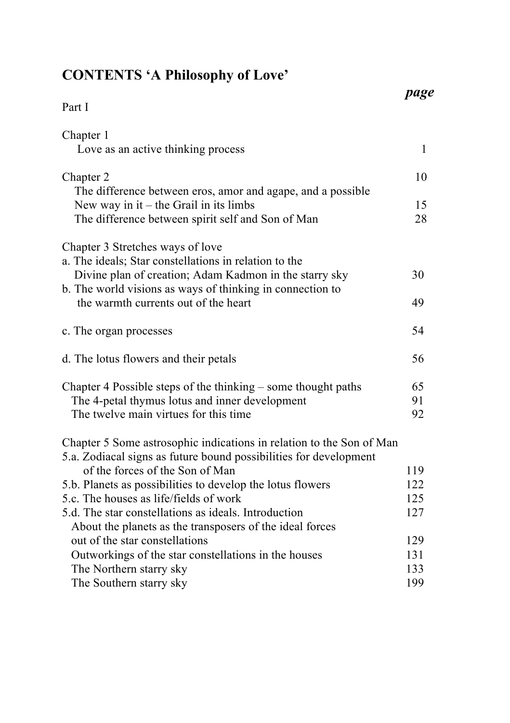## **CONTENTS 'A Philosophy of Love'**

|                                                                                                                     | page |
|---------------------------------------------------------------------------------------------------------------------|------|
| Part I                                                                                                              |      |
| Chapter 1                                                                                                           |      |
| Love as an active thinking process                                                                                  | 1    |
| Chapter 2                                                                                                           | 10   |
| The difference between eros, amor and agape, and a possible                                                         |      |
| New way in it – the Grail in its limbs                                                                              | 15   |
| The difference between spirit self and Son of Man                                                                   | 28   |
| Chapter 3 Stretches ways of love                                                                                    |      |
| a. The ideals, Star constellations in relation to the                                                               |      |
| Divine plan of creation; Adam Kadmon in the starry sky<br>b. The world visions as ways of thinking in connection to | 30   |
| the warmth currents out of the heart                                                                                | 49   |
|                                                                                                                     |      |
| c. The organ processes                                                                                              | 54   |
| d. The lotus flowers and their petals                                                                               | 56   |
| Chapter 4 Possible steps of the thinking – some thought paths                                                       | 65   |
| The 4-petal thymus lotus and inner development                                                                      | 91   |
| The twelve main virtues for this time                                                                               | 92   |
| Chapter 5 Some astrosophic indications in relation to the Son of Man                                                |      |
| 5.a. Zodiacal signs as future bound possibilities for development                                                   |      |
| of the forces of the Son of Man                                                                                     | 119  |
| 5.b. Planets as possibilities to develop the lotus flowers                                                          | 122  |
| 5.c. The houses as life/fields of work                                                                              | 125  |
| 5.d. The star constellations as ideals. Introduction                                                                | 127  |
| About the planets as the transposers of the ideal forces                                                            |      |
| out of the star constellations                                                                                      | 129  |
| Outworkings of the star constellations in the houses                                                                | 131  |
| The Northern starry sky                                                                                             | 133  |
| The Southern starry sky                                                                                             | 199  |